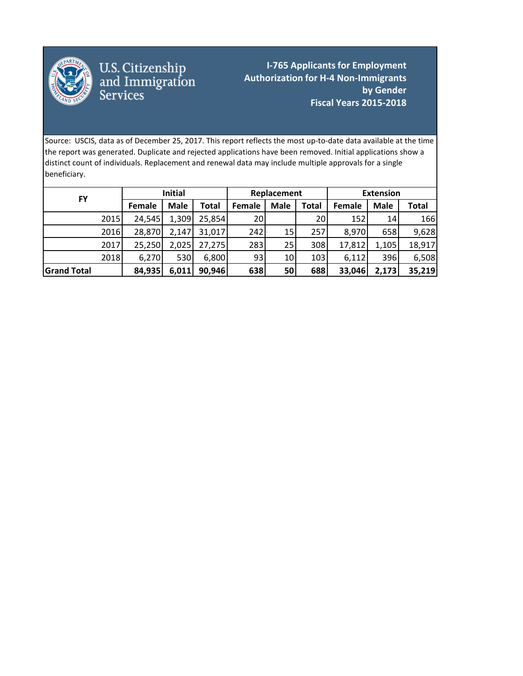

U.S. Citizenship<br>and Immigration<br>Services

**I-765 Applicants for Employment Authorization for H‐4 Non‐Immigrants by Gender Fiscal Years 2015‐2018**

 $\mathbf{r} = \mathbf{r} \cdot \mathbf{r}$ 

Source: USCIS, data as of December 25, 2017. This report reflects the most up‐to‐date data available at the time the report was generated. Duplicate and rejected applications have been removed. Initial applications show a distinct count of individuals. Replacement and renewal data may include multiple approvals for a single beneficiary.

|                    |      | <b>Initial</b> |             | Replacement |               | <b>Extension</b> |       |        |             |        |
|--------------------|------|----------------|-------------|-------------|---------------|------------------|-------|--------|-------------|--------|
| FY                 |      | Female         | <b>Male</b> | Total       | <b>Female</b> | <b>Male</b>      | Total | Female | <b>Male</b> | Total  |
|                    | 2015 | 24,545         | 1,309       | 25,854      | 20            |                  | 20    | 152    | 14          | 166    |
|                    | 2016 | 28,870         | 2,147       | 31,017      | 242           | 15               | 257   | 8,970  | 658         | 9,628  |
|                    | 2017 | 25,250         | 2,025       | 27,275      | 283           | 25               | 308   | 17,812 | 1,105       | 18,917 |
|                    | 2018 | 6,270          | 530         | 6,800       | 93            | 10               | 103   | 6,112  | 396         | 6,508  |
| <b>Grand Total</b> |      | 84,935         | 6,011       | 90,946      | 638           | 50               | 688   | 33,046 | 2,173       | 35,219 |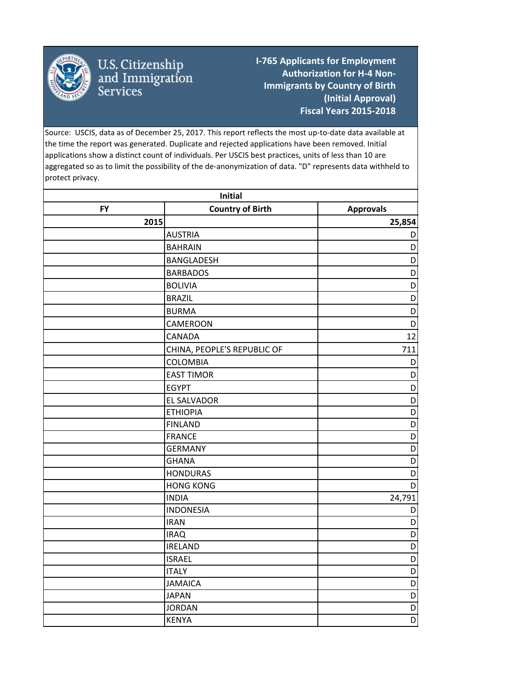

## U.S. Citizenship<br>and Immigration<br>Services

**I‐765 Applicants for Employment Authorization for H‐4 Non‐ Immigrants by Country of Birth (Initial Approval) Fiscal Years 2015‐2018**

Source: USCIS, data as of December 25, 2017. This report reflects the most up‐to‐date data available at the time the report was generated. Duplicate and rejected applications have been removed. Initial applications show a distinct count of individuals. Per USCIS best practices, units of less than 10 are aggregated so as to limit the possibility of the de-anonymization of data. "D" represents data withheld to protect privacy.

| Initial   |                             |                  |  |  |
|-----------|-----------------------------|------------------|--|--|
| <b>FY</b> | <b>Country of Birth</b>     | <b>Approvals</b> |  |  |
| 2015      |                             | 25,854           |  |  |
|           | <b>AUSTRIA</b>              | D                |  |  |
|           | <b>BAHRAIN</b>              | D                |  |  |
|           | BANGLADESH                  | D                |  |  |
|           | <b>BARBADOS</b>             | D                |  |  |
|           | <b>BOLIVIA</b>              | D                |  |  |
|           | <b>BRAZIL</b>               | $\mathsf D$      |  |  |
|           | <b>BURMA</b>                | D                |  |  |
|           | CAMEROON                    | D                |  |  |
|           | CANADA                      | 12               |  |  |
|           | CHINA, PEOPLE'S REPUBLIC OF | 711              |  |  |
|           | COLOMBIA                    | D                |  |  |
|           | <b>EAST TIMOR</b>           | D                |  |  |
|           | <b>EGYPT</b>                | D                |  |  |
|           | <b>EL SALVADOR</b>          | D                |  |  |
|           | <b>ETHIOPIA</b>             | D                |  |  |
|           | <b>FINLAND</b>              | $\overline{D}$   |  |  |
|           | <b>FRANCE</b>               | D                |  |  |
|           | <b>GERMANY</b>              | $\overline{D}$   |  |  |
|           | <b>GHANA</b>                | D                |  |  |
|           | <b>HONDURAS</b>             | D                |  |  |
|           | <b>HONG KONG</b>            | D                |  |  |
|           | <b>INDIA</b>                | 24,791           |  |  |
|           | <b>INDONESIA</b>            | D                |  |  |
|           | <b>IRAN</b>                 | D                |  |  |
|           | <b>IRAQ</b>                 | D                |  |  |
|           | <b>IRELAND</b>              | D                |  |  |
|           | <b>ISRAEL</b>               | $\overline{D}$   |  |  |
|           | <b>ITALY</b>                | $\mathsf D$      |  |  |
|           | <b>JAMAICA</b>              | $\overline{D}$   |  |  |
|           | <b>JAPAN</b>                | $\mathsf D$      |  |  |
|           | <b>JORDAN</b>               | $\mathsf D$      |  |  |
|           | <b>KENYA</b>                | D                |  |  |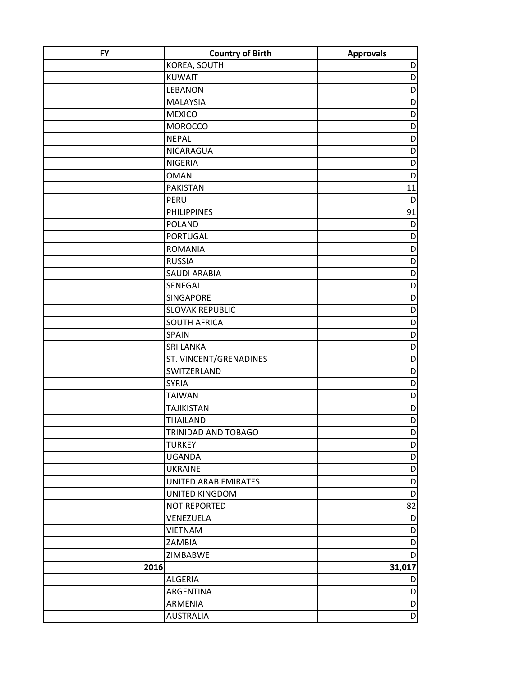| <b>FY</b> | <b>Country of Birth</b> | <b>Approvals</b> |
|-----------|-------------------------|------------------|
|           | KOREA, SOUTH            | D                |
|           | <b>KUWAIT</b>           | D                |
|           | <b>LEBANON</b>          | D                |
|           | <b>MALAYSIA</b>         | D                |
|           | <b>MEXICO</b>           | D                |
|           | <b>MOROCCO</b>          | D                |
|           | <b>NEPAL</b>            | D                |
|           | NICARAGUA               | D                |
|           | <b>NIGERIA</b>          | D                |
|           | <b>OMAN</b>             | D                |
|           | <b>PAKISTAN</b>         | 11               |
|           | PERU                    | D                |
|           | <b>PHILIPPINES</b>      | 91               |
|           | <b>POLAND</b>           | D                |
|           | <b>PORTUGAL</b>         | D                |
|           | <b>ROMANIA</b>          | D                |
|           | <b>RUSSIA</b>           | D                |
|           | <b>SAUDI ARABIA</b>     | D                |
|           | SENEGAL                 | D                |
|           | <b>SINGAPORE</b>        | D                |
|           | <b>SLOVAK REPUBLIC</b>  | D                |
|           | <b>SOUTH AFRICA</b>     | D                |
|           | <b>SPAIN</b>            | D                |
|           | <b>SRI LANKA</b>        | D                |
|           | ST. VINCENT/GRENADINES  | D                |
|           | SWITZERLAND             | D                |
|           | <b>SYRIA</b>            | D                |
|           | <b>TAIWAN</b>           | D                |
|           | <b>TAJIKISTAN</b>       | D                |
|           | <b>THAILAND</b>         | D                |
|           | TRINIDAD AND TOBAGO     | $\mathsf{D}$     |
|           | <b>TURKEY</b>           | D                |
|           | <b>UGANDA</b>           | D                |
|           | <b>UKRAINE</b>          | D                |
|           | UNITED ARAB EMIRATES    | D                |
|           | UNITED KINGDOM          | D                |
|           | <b>NOT REPORTED</b>     | 82               |
|           | VENEZUELA               | D                |
|           | <b>VIETNAM</b>          | D                |
|           | ZAMBIA                  | D                |
|           | ZIMBABWE                | D                |
| 2016      |                         | 31,017           |
|           | <b>ALGERIA</b>          | D                |
|           | ARGENTINA               | D                |
|           | <b>ARMENIA</b>          | D                |
|           | <b>AUSTRALIA</b>        | D                |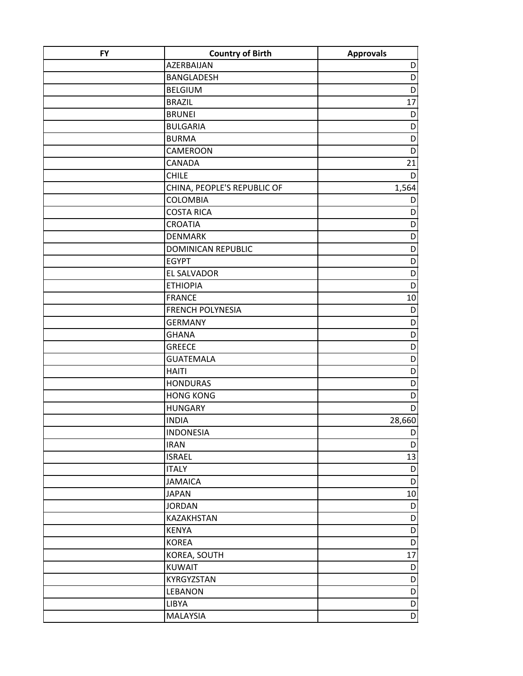| <b>FY</b> | <b>Country of Birth</b>     | <b>Approvals</b> |
|-----------|-----------------------------|------------------|
|           | AZERBAIJAN                  | D                |
|           | <b>BANGLADESH</b>           | D                |
|           | <b>BELGIUM</b>              | D                |
|           | <b>BRAZIL</b>               | 17               |
|           | <b>BRUNEI</b>               | D                |
|           | <b>BULGARIA</b>             | D                |
|           | <b>BURMA</b>                | D                |
|           | <b>CAMEROON</b>             | D                |
|           | CANADA                      | 21               |
|           | <b>CHILE</b>                | D                |
|           | CHINA, PEOPLE'S REPUBLIC OF | 1,564            |
|           | <b>COLOMBIA</b>             | D                |
|           | <b>COSTA RICA</b>           | D                |
|           | <b>CROATIA</b>              | D                |
|           | <b>DENMARK</b>              | D                |
|           | <b>DOMINICAN REPUBLIC</b>   | D                |
|           | <b>EGYPT</b>                | D                |
|           | <b>EL SALVADOR</b>          | D                |
|           | <b>ETHIOPIA</b>             | D                |
|           | <b>FRANCE</b>               | 10               |
|           | <b>FRENCH POLYNESIA</b>     | D                |
|           | <b>GERMANY</b>              | D                |
|           | <b>GHANA</b>                | D                |
|           | <b>GREECE</b>               | D                |
|           | <b>GUATEMALA</b>            | D                |
|           | <b>HAITI</b>                | D                |
|           | <b>HONDURAS</b>             | D                |
|           | <b>HONG KONG</b>            | D                |
|           | <b>HUNGARY</b>              | D                |
|           | <b>INDIA</b>                | 28,660           |
|           | <b>INDONESIA</b>            | $\mathsf{D}$     |
|           | <b>IRAN</b>                 | D                |
|           | <b>ISRAEL</b>               | 13               |
|           | <b>ITALY</b>                | D                |
|           | <b>JAMAICA</b>              | D                |
|           | <b>JAPAN</b>                | 10               |
|           | <b>JORDAN</b>               | D                |
|           | KAZAKHSTAN                  | D                |
|           | <b>KENYA</b>                | D                |
|           | <b>KOREA</b>                | D                |
|           | KOREA, SOUTH                | 17               |
|           | <b>KUWAIT</b>               | D                |
|           | KYRGYZSTAN                  | D                |
|           | <b>LEBANON</b>              | D                |
|           | LIBYA                       | D                |
|           | MALAYSIA                    | D                |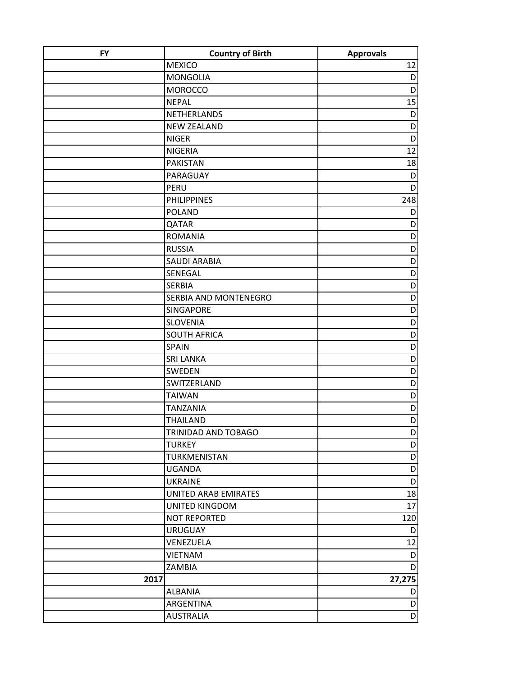| <b>FY</b> | <b>Country of Birth</b>      | <b>Approvals</b> |
|-----------|------------------------------|------------------|
|           | <b>MEXICO</b>                | 12               |
|           | <b>MONGOLIA</b>              | D                |
|           | <b>MOROCCO</b>               | D                |
|           | <b>NEPAL</b>                 | 15               |
|           | NETHERLANDS                  | D                |
|           | <b>NEW ZEALAND</b>           | D                |
|           | <b>NIGER</b>                 | D                |
|           | <b>NIGERIA</b>               | 12               |
|           | <b>PAKISTAN</b>              | 18               |
|           | PARAGUAY                     | D                |
|           | PERU                         | D                |
|           | <b>PHILIPPINES</b>           | 248              |
|           | <b>POLAND</b>                | D                |
|           | QATAR                        | D                |
|           | <b>ROMANIA</b>               | D                |
|           | <b>RUSSIA</b>                | D                |
|           | <b>SAUDI ARABIA</b>          | D                |
|           | SENEGAL                      | D                |
|           | <b>SERBIA</b>                | D                |
|           | <b>SERBIA AND MONTENEGRO</b> | D                |
|           | <b>SINGAPORE</b>             | D                |
|           | <b>SLOVENIA</b>              | D                |
|           | <b>SOUTH AFRICA</b>          | D                |
|           | <b>SPAIN</b>                 | D                |
|           | <b>SRI LANKA</b>             | D                |
|           | <b>SWEDEN</b>                | D                |
|           | SWITZERLAND                  | D                |
|           | <b>TAIWAN</b>                | D                |
|           | <b>TANZANIA</b>              | D                |
|           | <b>THAILAND</b>              | D                |
|           | TRINIDAD AND TOBAGO          | $\mathsf{D}$     |
|           | <b>TURKEY</b>                | D                |
|           | TURKMENISTAN                 | D                |
|           | <b>UGANDA</b>                | $\mathsf D$      |
|           | <b>UKRAINE</b>               | $\mathsf D$      |
|           | UNITED ARAB EMIRATES         | 18               |
|           | UNITED KINGDOM               | 17               |
|           | NOT REPORTED                 | 120              |
|           | <b>URUGUAY</b>               | D                |
|           | VENEZUELA                    | 12               |
|           | <b>VIETNAM</b>               | D                |
|           | ZAMBIA                       | D                |
| 2017      |                              | 27,275           |
|           | <b>ALBANIA</b>               | D                |
|           | ARGENTINA                    | D                |
|           | <b>AUSTRALIA</b>             | $\mathsf{D}$     |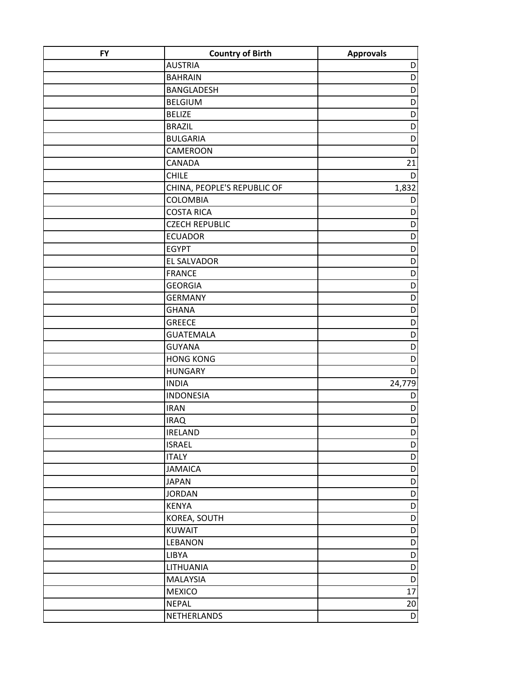| <b>FY</b> | <b>Country of Birth</b>     | <b>Approvals</b> |
|-----------|-----------------------------|------------------|
|           | <b>AUSTRIA</b>              | D                |
|           | <b>BAHRAIN</b>              | D                |
|           | <b>BANGLADESH</b>           | D                |
|           | <b>BELGIUM</b>              | D                |
|           | <b>BELIZE</b>               | D                |
|           | <b>BRAZIL</b>               | D                |
|           | <b>BULGARIA</b>             | D                |
|           | <b>CAMEROON</b>             | D                |
|           | <b>CANADA</b>               | 21               |
|           | <b>CHILE</b>                | D                |
|           | CHINA, PEOPLE'S REPUBLIC OF | 1,832            |
|           | <b>COLOMBIA</b>             | D                |
|           | <b>COSTA RICA</b>           | D                |
|           | <b>CZECH REPUBLIC</b>       | D                |
|           | <b>ECUADOR</b>              | D                |
|           | <b>EGYPT</b>                | D                |
|           | <b>EL SALVADOR</b>          | D                |
|           | <b>FRANCE</b>               | D                |
|           | <b>GEORGIA</b>              | D                |
|           | <b>GERMANY</b>              | D                |
|           | <b>GHANA</b>                | D                |
|           | <b>GREECE</b>               | D                |
|           | <b>GUATEMALA</b>            | D                |
|           | <b>GUYANA</b>               | D                |
|           | <b>HONG KONG</b>            | D                |
|           | <b>HUNGARY</b>              | D                |
|           | <b>INDIA</b>                | 24,779           |
|           | <b>INDONESIA</b>            | D                |
|           | <b>IRAN</b>                 | D                |
|           | <b>IRAQ</b>                 | D                |
|           | <b>IRELAND</b>              | $\mathsf{D}$     |
|           | <b>ISRAEL</b>               | D                |
|           | <b>ITALY</b>                | $\mathsf D$      |
|           | <b>JAMAICA</b>              | $\mathsf D$      |
|           | <b>JAPAN</b>                | $\mathsf D$      |
|           | <b>JORDAN</b>               | D                |
|           | <b>KENYA</b>                | D<br>D           |
|           | KOREA, SOUTH                |                  |
|           | <b>KUWAIT</b>               | D                |
|           | <b>LEBANON</b><br>LIBYA     | D<br>D           |
|           | LITHUANIA                   | D                |
|           |                             |                  |
|           | <b>MALAYSIA</b>             | D                |
|           | <b>MEXICO</b>               | 17               |
|           | <b>NEPAL</b>                | 20               |
|           | NETHERLANDS                 | $\mathsf D$      |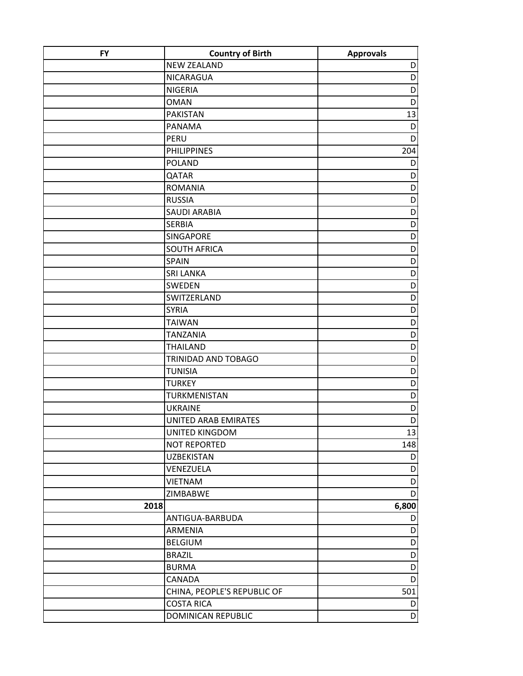| <b>FY</b> | <b>Country of Birth</b>     | <b>Approvals</b> |
|-----------|-----------------------------|------------------|
|           | <b>NEW ZEALAND</b>          | D                |
|           | NICARAGUA                   | D                |
|           | <b>NIGERIA</b>              | D                |
|           | <b>OMAN</b>                 | D                |
|           | <b>PAKISTAN</b>             | 13               |
|           | PANAMA                      | D                |
|           | PERU                        | D                |
|           | <b>PHILIPPINES</b>          | 204              |
|           | <b>POLAND</b>               | D                |
|           | QATAR                       | D                |
|           | <b>ROMANIA</b>              | D                |
|           | <b>RUSSIA</b>               | D                |
|           | <b>SAUDI ARABIA</b>         | D                |
|           | <b>SERBIA</b>               | D                |
|           | <b>SINGAPORE</b>            | D                |
|           | <b>SOUTH AFRICA</b>         | D                |
|           | <b>SPAIN</b>                | D                |
|           | <b>SRI LANKA</b>            | D                |
|           | <b>SWEDEN</b>               | D                |
|           | SWITZERLAND                 | D                |
|           | <b>SYRIA</b>                | D                |
|           | <b>TAIWAN</b>               | D                |
|           | <b>TANZANIA</b>             | D                |
|           | <b>THAILAND</b>             | D                |
|           | TRINIDAD AND TOBAGO         | $\overline{D}$   |
|           | <b>TUNISIA</b>              | D                |
|           | <b>TURKEY</b>               | D                |
|           | TURKMENISTAN                | D                |
|           | <b>UKRAINE</b>              | D                |
|           | UNITED ARAB EMIRATES        | D                |
|           | UNITED KINGDOM              | 13               |
|           | <b>NOT REPORTED</b>         | 148              |
|           | <b>UZBEKISTAN</b>           | D                |
|           | VENEZUELA                   | D                |
|           | <b>VIETNAM</b>              | D                |
|           | ZIMBABWE                    | D                |
| 2018      |                             | 6,800            |
|           | ANTIGUA-BARBUDA             | D                |
|           | <b>ARMENIA</b>              | D                |
|           | <b>BELGIUM</b>              | D                |
|           | <b>BRAZIL</b>               | D                |
|           | <b>BURMA</b>                | $\mathsf D$      |
|           | CANADA                      | D                |
|           | CHINA, PEOPLE'S REPUBLIC OF | 501              |
|           | <b>COSTA RICA</b>           | D                |
|           | <b>DOMINICAN REPUBLIC</b>   | D                |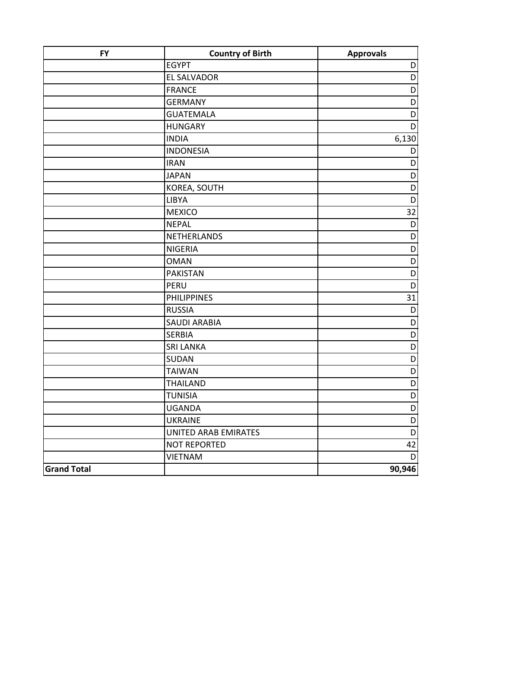| <b>FY</b>          | <b>Country of Birth</b>     | <b>Approvals</b>        |
|--------------------|-----------------------------|-------------------------|
|                    | <b>EGYPT</b>                | D                       |
|                    | <b>EL SALVADOR</b>          | $\mathsf D$             |
|                    | <b>FRANCE</b>               | D                       |
|                    | <b>GERMANY</b>              | D                       |
|                    | <b>GUATEMALA</b>            | D                       |
|                    | <b>HUNGARY</b>              | D                       |
|                    | <b>INDIA</b>                | 6,130                   |
|                    | <b>INDONESIA</b>            | D                       |
|                    | <b>IRAN</b>                 | D                       |
|                    | <b>JAPAN</b>                | D                       |
|                    | KOREA, SOUTH                | D                       |
|                    | LIBYA                       | D                       |
|                    | <b>MEXICO</b>               | 32                      |
|                    | <b>NEPAL</b>                | D                       |
|                    | NETHERLANDS                 | D                       |
|                    | <b>NIGERIA</b>              | D                       |
|                    | <b>OMAN</b>                 | $\overline{\mathsf{D}}$ |
|                    | <b>PAKISTAN</b>             | D                       |
|                    | PERU                        | D                       |
|                    | <b>PHILIPPINES</b>          | 31                      |
|                    | <b>RUSSIA</b>               | $\mathsf D$             |
|                    | <b>SAUDI ARABIA</b>         | D                       |
|                    | <b>SERBIA</b>               | D                       |
|                    | <b>SRI LANKA</b>            | D                       |
|                    | <b>SUDAN</b>                | D                       |
|                    | <b>TAIWAN</b>               | D                       |
|                    | <b>THAILAND</b>             | D                       |
|                    | <b>TUNISIA</b>              | D                       |
|                    | <b>UGANDA</b>               | D                       |
|                    | <b>UKRAINE</b>              | D                       |
|                    | <b>UNITED ARAB EMIRATES</b> | D                       |
|                    | <b>NOT REPORTED</b>         | 42                      |
|                    | <b>VIETNAM</b>              | $\mathsf{D}$            |
| <b>Grand Total</b> |                             | 90,946                  |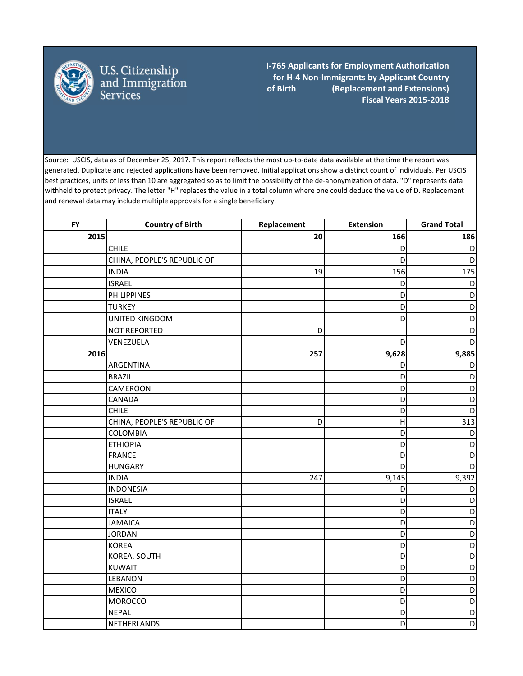

U.S. Citizenship<br>and Immigration<br>Services

**I‐765 Applicants for Employment Authorization for H‐4 Non‐Immigrants by Applicant Country of Birth (Replacement and Extensions) Fiscal Years 2015‐2018**

 $\mathcal{L}=\{1,2,3,4,5\}$ 

Source: USCIS, data as of December 25, 2017. This report reflects the most up-to-date data available at the time the report was generated. Duplicate and rejected applications have been removed. Initial applications show a distinct count of individuals. Per USCIS best practices, units of less than 10 are aggregated so as to limit the possibility of the de-anonymization of data. "D" represents data withheld to protect privacy. The letter "H" replaces the value in a total column where one could deduce the value of D. Replacement and renewal data may include multiple approvals for a single beneficiary.

| <b>FY</b> | <b>Country of Birth</b>     | Replacement | <b>Extension</b> | <b>Grand Total</b> |
|-----------|-----------------------------|-------------|------------------|--------------------|
| 2015      |                             | 20          | 166              | 186                |
|           | <b>CHILE</b>                |             | D                | D                  |
|           | CHINA, PEOPLE'S REPUBLIC OF |             | D                | D                  |
|           | <b>INDIA</b>                | 19          | 156              | 175                |
|           | <b>ISRAEL</b>               |             | D                | D                  |
|           | <b>PHILIPPINES</b>          |             | D                | D                  |
|           | <b>TURKEY</b>               |             | D                | D                  |
|           | UNITED KINGDOM              |             | D                | D                  |
|           | <b>NOT REPORTED</b>         | D           |                  | D                  |
|           | VENEZUELA                   |             | D                | D                  |
| 2016      |                             | 257         | 9,628            | 9,885              |
|           | ARGENTINA                   |             | D                | D                  |
|           | <b>BRAZIL</b>               |             | D                | D                  |
|           | CAMEROON                    |             | D                | D                  |
|           | CANADA                      |             | D                | D                  |
|           | <b>CHILE</b>                |             | D                | D                  |
|           | CHINA, PEOPLE'S REPUBLIC OF | D           | H                | 313                |
|           | <b>COLOMBIA</b>             |             | D                | D                  |
|           | <b>ETHIOPIA</b>             |             | D                | D                  |
|           | <b>FRANCE</b>               |             | D                | D                  |
|           | <b>HUNGARY</b>              |             | D                | D                  |
|           | <b>INDIA</b>                | 247         | 9,145            | 9,392              |
|           | <b>INDONESIA</b>            |             | D                | D                  |
|           | <b>ISRAEL</b>               |             | D                | D                  |
|           | <b>ITALY</b>                |             | D                | D                  |
|           | <b>JAMAICA</b>              |             | D                | D                  |
|           | <b>JORDAN</b>               |             | D                | D                  |
|           | <b>KOREA</b>                |             | D                | D                  |
|           | KOREA, SOUTH                |             | D                | D                  |
|           | <b>KUWAIT</b>               |             | D                | D                  |
|           | LEBANON                     |             | D                | D                  |
|           | <b>MEXICO</b>               |             | D                | D                  |
|           | <b>MOROCCO</b>              |             | D                | D                  |
|           | <b>NEPAL</b>                |             | D                | D                  |
|           | NETHERLANDS                 |             | D                | D                  |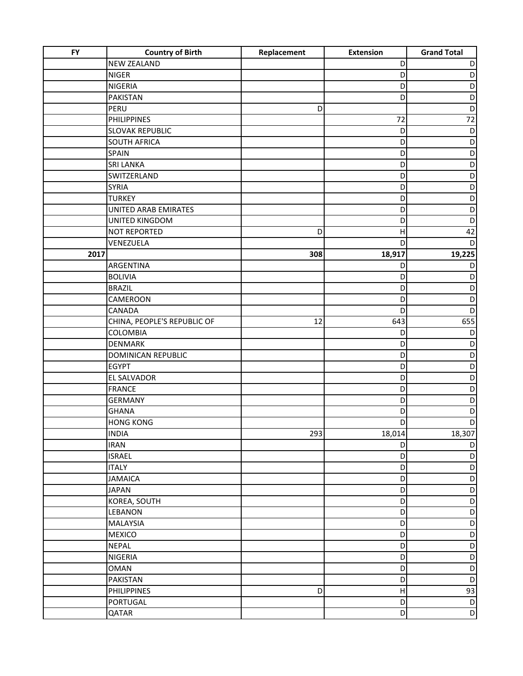| <b>FY</b> | <b>Country of Birth</b>     | Replacement | <b>Extension</b>          | <b>Grand Total</b> |
|-----------|-----------------------------|-------------|---------------------------|--------------------|
|           | <b>NEW ZEALAND</b>          |             | D                         | D                  |
|           | <b>NIGER</b>                |             | D                         | $\mathsf D$        |
|           | NIGERIA                     |             | D                         | D                  |
|           | <b>PAKISTAN</b>             |             | D                         | D                  |
|           | PERU                        | D           |                           | D                  |
|           | <b>PHILIPPINES</b>          |             | 72                        | 72                 |
|           | <b>SLOVAK REPUBLIC</b>      |             | D                         | D                  |
|           | <b>SOUTH AFRICA</b>         |             | D                         | D                  |
|           | SPAIN                       |             | D                         | D                  |
|           | <b>SRI LANKA</b>            |             | D                         | D                  |
|           | SWITZERLAND                 |             | D                         | D                  |
|           | <b>SYRIA</b>                |             | D                         | D                  |
|           | <b>TURKEY</b>               |             | D                         | D                  |
|           | UNITED ARAB EMIRATES        |             | D                         | D                  |
|           | UNITED KINGDOM              |             | D                         | D                  |
|           | <b>NOT REPORTED</b>         | D           | $\mathsf{H}$              | 42                 |
|           | VENEZUELA                   |             | D                         | D                  |
| 2017      |                             | 308         | 18,917                    | 19,225             |
|           | ARGENTINA                   |             | D                         | D                  |
|           | <b>BOLIVIA</b>              |             | D                         | D                  |
|           | <b>BRAZIL</b>               |             | D                         | D                  |
|           | CAMEROON                    |             | D                         | D                  |
|           | CANADA                      |             | D                         | D                  |
|           | CHINA, PEOPLE'S REPUBLIC OF | 12          | 643                       | 655                |
|           | COLOMBIA                    |             | D                         | D                  |
|           | DENMARK                     |             | D                         | D                  |
|           | <b>DOMINICAN REPUBLIC</b>   |             | D                         | D                  |
|           | <b>EGYPT</b>                |             | D                         | D                  |
|           | EL SALVADOR                 |             | D                         | D                  |
|           | <b>FRANCE</b>               |             | D                         | D                  |
|           | <b>GERMANY</b>              |             | D                         | D                  |
|           | <b>GHANA</b>                |             | D                         | D                  |
|           | <b>HONG KONG</b>            |             | D                         | D                  |
|           | <b>INDIA</b>                | 293         | 18,014                    | 18,307             |
|           | <b>IRAN</b>                 |             | D                         | D                  |
|           | <b>ISRAEL</b>               |             | D                         | $\mathsf D$        |
|           | <b>ITALY</b>                |             | D                         | $\mathsf D$        |
|           | <b>JAMAICA</b>              |             | D                         | D                  |
|           | <b>JAPAN</b>                |             | D                         | D                  |
|           | KOREA, SOUTH                |             | D                         | D                  |
|           | LEBANON                     |             | D                         | D                  |
|           | <b>MALAYSIA</b>             |             | D                         | D                  |
|           | <b>MEXICO</b>               |             | D                         | D                  |
|           | <b>NEPAL</b>                |             | D                         | D                  |
|           | NIGERIA                     |             | D                         | D                  |
|           | <b>OMAN</b>                 |             | D                         | D                  |
|           | PAKISTAN                    |             | D                         | D                  |
|           | <b>PHILIPPINES</b>          | D           | $\boldsymbol{\mathsf{H}}$ | 93                 |
|           | PORTUGAL                    |             | D                         | $\mathsf D$        |
|           | QATAR                       |             | D                         | $\mathsf{D}$       |